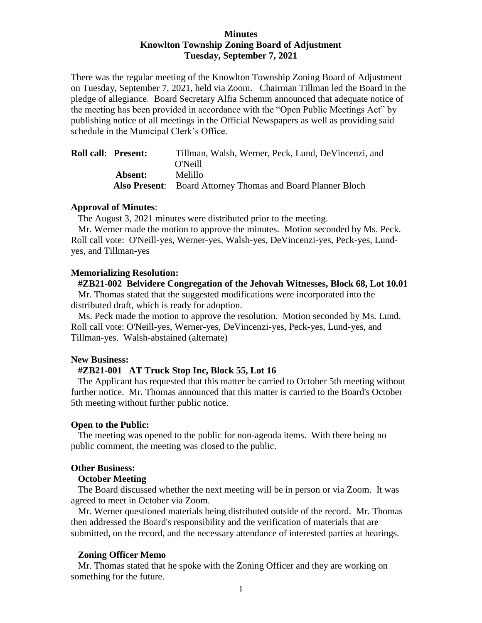## **Minutes Knowlton Township Zoning Board of Adjustment Tuesday, September 7, 2021**

There was the regular meeting of the Knowlton Township Zoning Board of Adjustment on Tuesday, September 7, 2021, held via Zoom. Chairman Tillman led the Board in the pledge of allegiance. Board Secretary Alfia Schemm announced that adequate notice of the meeting has been provided in accordance with the "Open Public Meetings Act" by publishing notice of all meetings in the Official Newspapers as well as providing said schedule in the Municipal Clerk's Office.

| <b>Roll call: Present:</b> | Tillman, Walsh, Werner, Peck, Lund, DeVincenzi, and                |
|----------------------------|--------------------------------------------------------------------|
|                            | O'Neill                                                            |
| Absent:                    | Melillo                                                            |
|                            | <b>Also Present:</b> Board Attorney Thomas and Board Planner Bloch |

### **Approval of Minutes**:

The August 3, 2021 minutes were distributed prior to the meeting.

 Mr. Werner made the motion to approve the minutes. Motion seconded by Ms. Peck. Roll call vote: O'Neill-yes, Werner-yes, Walsh-yes, DeVincenzi-yes, Peck-yes, Lundyes, and Tillman-yes

### **Memorializing Resolution:**

 **#ZB21-002 Belvidere Congregation of the Jehovah Witnesses, Block 68, Lot 10.01** Mr. Thomas stated that the suggested modifications were incorporated into the distributed draft, which is ready for adoption.

 Ms. Peck made the motion to approve the resolution. Motion seconded by Ms. Lund. Roll call vote: O'Neill-yes, Werner-yes, DeVincenzi-yes, Peck-yes, Lund-yes, and Tillman-yes. Walsh-abstained (alternate)

### **New Business:**

#### **#ZB21-001 AT Truck Stop Inc, Block 55, Lot 16**

 The Applicant has requested that this matter be carried to October 5th meeting without further notice. Mr. Thomas announced that this matter is carried to the Board's October 5th meeting without further public notice.

### **Open to the Public:**

 The meeting was opened to the public for non-agenda items. With there being no public comment, the meeting was closed to the public.

#### **Other Business:**

## **October Meeting**

The Board discussed whether the next meeting will be in person or via Zoom. It was agreed to meet in October via Zoom.

 Mr. Werner questioned materials being distributed outside of the record. Mr. Thomas then addressed the Board's responsibility and the verification of materials that are submitted, on the record, and the necessary attendance of interested parties at hearings.

### **Zoning Officer Memo**

Mr. Thomas stated that he spoke with the Zoning Officer and they are working on something for the future.